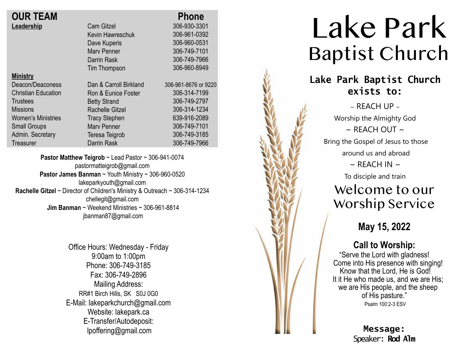| <b>OUR TEAM</b>            |                        | <b>Phone</b>         |
|----------------------------|------------------------|----------------------|
| Leadership                 | <b>Cam Gitzel</b>      | 306-930-3301         |
|                            | Kevin Hawreschuk       | 306-961-0392         |
|                            | Dave Kuperis           | 306-960-0531         |
|                            | <b>Mary Penner</b>     | 306-749-7101         |
|                            | Darrin Rask            | 306-749-7966         |
|                            | Tim Thompson           | 306-960-8949         |
| <b>Ministry</b>            |                        |                      |
| Deacon/Deaconess           | Dan & Carroll Birkland | 306-961-8676 or 9220 |
| <b>Christian Education</b> | Ron & Eunice Foster    | 306-314-7199         |
| <b>Trustees</b>            | <b>Betty Strand</b>    | 306-749-2797         |
| <b>Missions</b>            | <b>Rachelle Gitzel</b> | 306-314-1234         |
| <b>Women's Ministries</b>  | <b>Tracy Stephen</b>   | 639-916-2089         |
| <b>Small Groups</b>        | <b>Mary Penner</b>     | 306-749-7101         |
| Admin. Secretary           | Teresa Teigrob         | 306-749-3185         |
| Treasurer                  | Darrin Rask            | 306-749-7966         |
|                            |                        |                      |

**Pastor Matthew Teigrob** ~ Lead Pastor ~ 306-941-0074 pastormatteigrob@gmail.com **Pastor James Banman** ~ Youth Ministry ~ 306-960-0520 lakeparkyouth@gmail.com **Rachelle Gitzel** ~ Director of Children's Ministry & Outreach ~ 306-314-1234 chellegit@gmail.com  **Jim Banman** ~ Weekend Ministries ~ 306-961-8814 jbanman87@gmail.com

> Office Hours: Wednesday - Friday 9:00am to 1:00pm Phone: 306-749-3185 Fax: 306-749-2896 Mailing Address: RR#1 Birch Hills, SK S0J 0G0 E-Mail: lakeparkchurch@gmail.com Website: lakepark.ca E-Transfer/Autodeposit: lpoffering@gmail.com



Speaker: **Rod Alm**